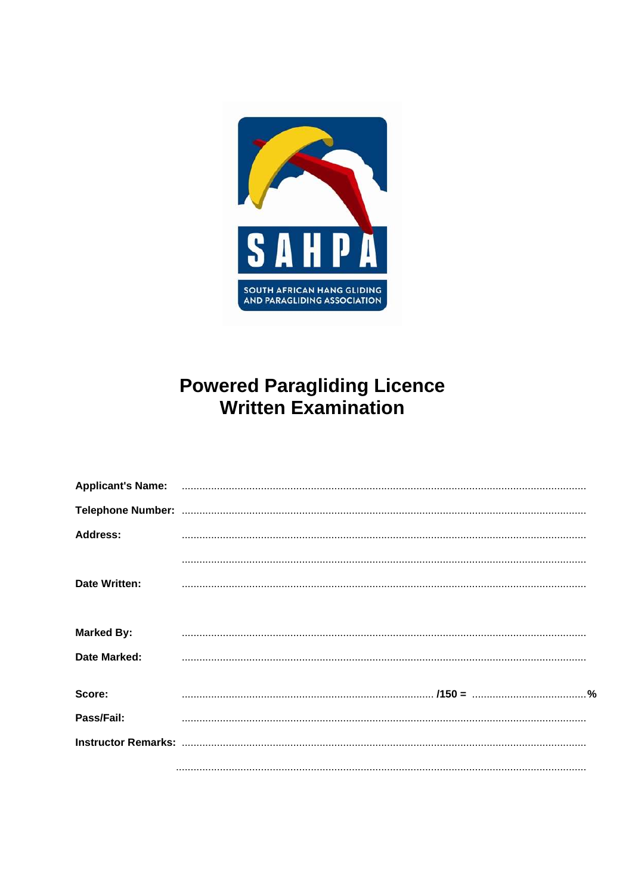

# **Powered Paragliding Licence<br>Written Examination**

| <b>Address:</b>     |                                                                                                                                                                                                                                                                                                                                                                                                                                                  |
|---------------------|--------------------------------------------------------------------------------------------------------------------------------------------------------------------------------------------------------------------------------------------------------------------------------------------------------------------------------------------------------------------------------------------------------------------------------------------------|
|                     |                                                                                                                                                                                                                                                                                                                                                                                                                                                  |
| Date Written:       |                                                                                                                                                                                                                                                                                                                                                                                                                                                  |
|                     |                                                                                                                                                                                                                                                                                                                                                                                                                                                  |
| <b>Marked By:</b>   |                                                                                                                                                                                                                                                                                                                                                                                                                                                  |
| <b>Date Marked:</b> | $\begin{minipage}{0.5\textwidth} \begin{tabular}{ l l l } \hline \multicolumn{1}{ l l l } \hline \multicolumn{1}{ l l } \hline \multicolumn{1}{ l } \multicolumn{1}{ l } \hline \multicolumn{1}{ l } \multicolumn{1}{ l } \multicolumn{1}{ l } \hline \multicolumn{1}{ l } \multicolumn{1}{ l } \multicolumn{1}{ l } \hline \multicolumn{1}{ l } \multicolumn{1}{ l } \hline \multicolumn{1}{ l } \multicolumn{1}{ l } \hline \multicolumn{1}{ $ |
|                     |                                                                                                                                                                                                                                                                                                                                                                                                                                                  |
| Score:              |                                                                                                                                                                                                                                                                                                                                                                                                                                                  |
| Pass/Fail:          |                                                                                                                                                                                                                                                                                                                                                                                                                                                  |
|                     |                                                                                                                                                                                                                                                                                                                                                                                                                                                  |
|                     |                                                                                                                                                                                                                                                                                                                                                                                                                                                  |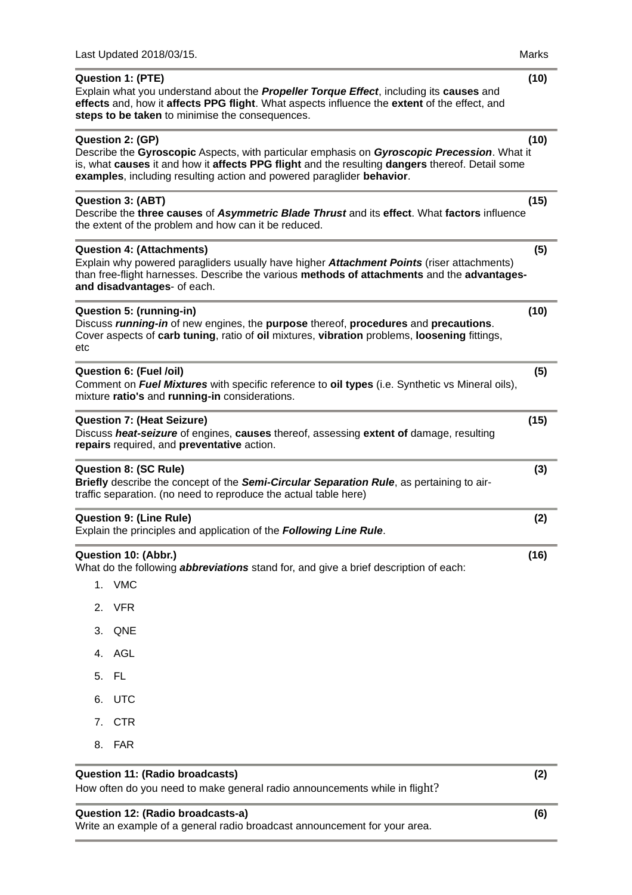|     | Last Updated 2018/03/15.                                                                                                                                                                                                                                                                    | Marks |
|-----|---------------------------------------------------------------------------------------------------------------------------------------------------------------------------------------------------------------------------------------------------------------------------------------------|-------|
|     | <b>Question 1: (PTE)</b><br>Explain what you understand about the <b>Propeller Torque Effect</b> , including its <b>causes</b> and<br>effects and, how it affects PPG flight. What aspects influence the extent of the effect, and<br>steps to be taken to minimise the consequences.       | (10)  |
|     | Question 2: (GP)<br>Describe the Gyroscopic Aspects, with particular emphasis on Gyroscopic Precession. What it<br>is, what causes it and how it affects PPG flight and the resulting dangers thereof. Detail some<br>examples, including resulting action and powered paraglider behavior. | (10)  |
|     | <b>Question 3: (ABT)</b><br>Describe the three causes of Asymmetric Blade Thrust and its effect. What factors influence<br>the extent of the problem and how can it be reduced.                                                                                                             | (15)  |
|     | <b>Question 4: (Attachments)</b><br>Explain why powered paragliders usually have higher Attachment Points (riser attachments)<br>than free-flight harnesses. Describe the various methods of attachments and the advantages-<br>and disadvantages- of each.                                 | (5)   |
| etc | Question 5: (running-in)<br>Discuss running-in of new engines, the purpose thereof, procedures and precautions.<br>Cover aspects of carb tuning, ratio of oil mixtures, vibration problems, loosening fittings,                                                                             | (10)  |
|     | Question 6: (Fuel /oil)<br>Comment on Fuel Mixtures with specific reference to oil types (i.e. Synthetic vs Mineral oils),<br>mixture ratio's and running-in considerations.                                                                                                                | (5)   |
|     | <b>Question 7: (Heat Seizure)</b><br>Discuss heat-seizure of engines, causes thereof, assessing extent of damage, resulting<br>repairs required, and preventative action.                                                                                                                   | (15)  |
|     | <b>Question 8: (SC Rule)</b><br>Briefly describe the concept of the Semi-Circular Separation Rule, as pertaining to air-<br>traffic separation. (no need to reproduce the actual table here)                                                                                                | (3)   |
|     | <b>Question 9: (Line Rule)</b><br>Explain the principles and application of the Following Line Rule.                                                                                                                                                                                        | (2)   |
|     | Question 10: (Abbr.)<br>What do the following <i>abbreviations</i> stand for, and give a brief description of each:<br>1. VMC                                                                                                                                                               | (16)  |
| 2.  | <b>VFR</b>                                                                                                                                                                                                                                                                                  |       |
| 3.  | QNE                                                                                                                                                                                                                                                                                         |       |
| 4.  | AGL                                                                                                                                                                                                                                                                                         |       |
| 5.  | - FL                                                                                                                                                                                                                                                                                        |       |
| 6.  | UTC                                                                                                                                                                                                                                                                                         |       |
|     | 7. CTR                                                                                                                                                                                                                                                                                      |       |

8. FAR

# **Question 11: (Radio broadcasts) (2)**

How often do you need to make general radio announcements while in flight?

# **Question 12: (Radio broadcasts-a) (6)**

Write an example of a general radio broadcast announcement for your area.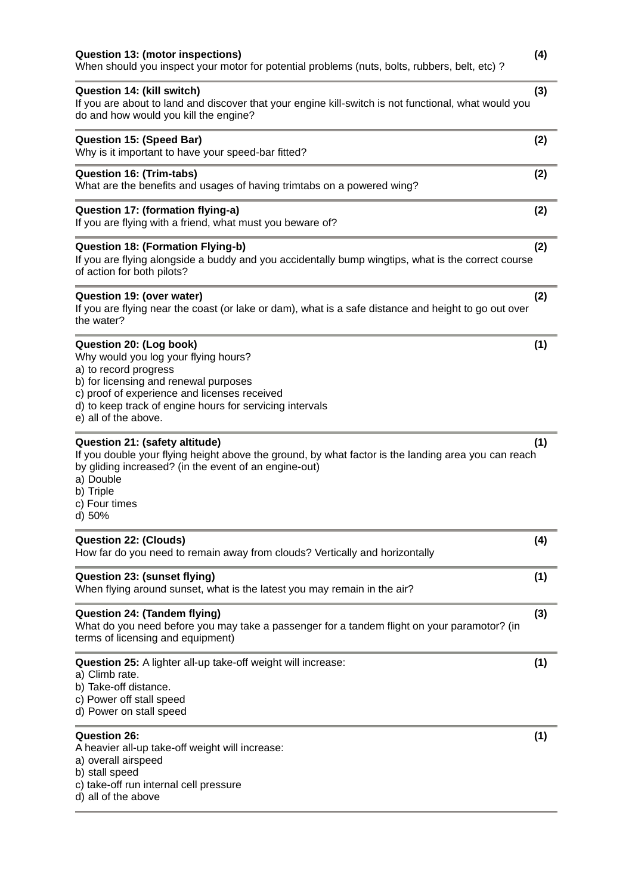| Question 14: (kill switch)<br>(3)<br>If you are about to land and discover that your engine kill-switch is not functional, what would you<br>do and how would you kill the engine?                                                                                    |     |  |
|-----------------------------------------------------------------------------------------------------------------------------------------------------------------------------------------------------------------------------------------------------------------------|-----|--|
| <b>Question 15: (Speed Bar)</b><br>Why is it important to have your speed-bar fitted?                                                                                                                                                                                 | (2) |  |
| <b>Question 16: (Trim-tabs)</b><br>What are the benefits and usages of having trimtabs on a powered wing?                                                                                                                                                             | (2) |  |
| Question 17: (formation flying-a)<br>If you are flying with a friend, what must you beware of?                                                                                                                                                                        | (2) |  |
| <b>Question 18: (Formation Flying-b)</b><br>If you are flying alongside a buddy and you accidentally bump wingtips, what is the correct course<br>of action for both pilots?                                                                                          | (2) |  |
| Question 19: (over water)<br>If you are flying near the coast (or lake or dam), what is a safe distance and height to go out over<br>the water?                                                                                                                       | (2) |  |
| Question 20: (Log book)<br>Why would you log your flying hours?<br>a) to record progress<br>b) for licensing and renewal purposes<br>c) proof of experience and licenses received<br>d) to keep track of engine hours for servicing intervals<br>e) all of the above. | (1) |  |
| Question 21: (safety altitude)<br>If you double your flying height above the ground, by what factor is the landing area you can reach<br>by gliding increased? (in the event of an engine-out)<br>a) Double<br>b) Triple<br>c) Four times<br>d) 50%                   | (1) |  |
| <b>Question 22: (Clouds)</b><br>How far do you need to remain away from clouds? Vertically and horizontally                                                                                                                                                           | (4) |  |
| Question 23: (sunset flying)<br>When flying around sunset, what is the latest you may remain in the air?                                                                                                                                                              | (1) |  |
| <b>Question 24: (Tandem flying)</b><br>What do you need before you may take a passenger for a tandem flight on your paramotor? (in<br>terms of licensing and equipment)                                                                                               | (3) |  |
| Question 25: A lighter all-up take-off weight will increase:<br>a) Climb rate.<br>b) Take-off distance.<br>c) Power off stall speed<br>d) Power on stall speed                                                                                                        | (1) |  |
| <b>Question 26:</b><br>A heavier all-up take-off weight will increase:<br>a) overall airspeed<br>b) stall speed<br>c) take-off run internal cell pressure<br>d) all of the above                                                                                      | (1) |  |

When should you inspect your motor for potential problems (nuts, bolts, rubbers, belt, etc) ?

**Question 13: (motor inspections) (4)**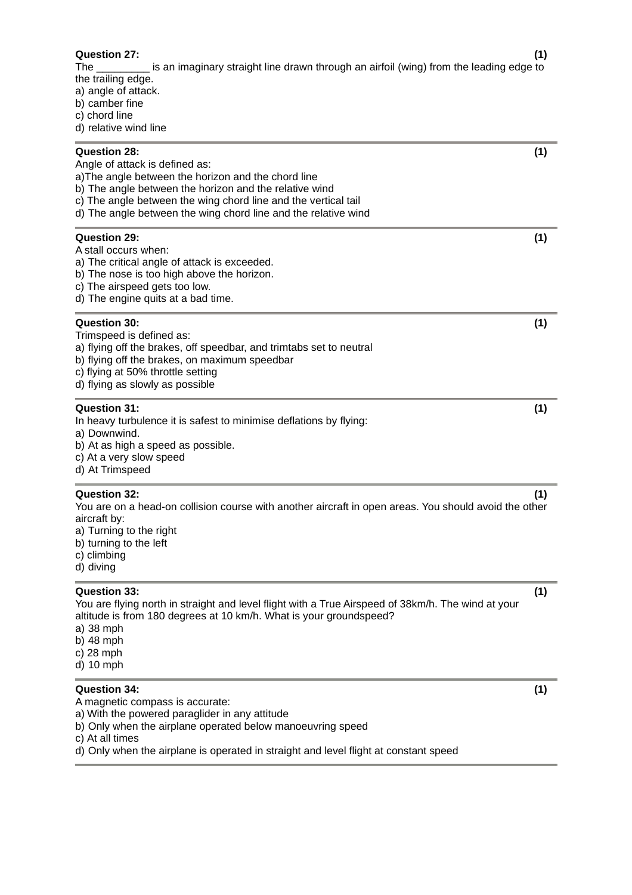| <b>Question 27:</b><br>is an imaginary straight line drawn through an airfoil (wing) from the leading edge to<br>The<br>the trailing edge.<br>a) angle of attack.<br>b) camber fine<br>c) chord line<br>d) relative wind line                                                                       | (1) |
|-----------------------------------------------------------------------------------------------------------------------------------------------------------------------------------------------------------------------------------------------------------------------------------------------------|-----|
| Question 28:<br>Angle of attack is defined as:<br>a) The angle between the horizon and the chord line<br>b) The angle between the horizon and the relative wind<br>c) The angle between the wing chord line and the vertical tail<br>d) The angle between the wing chord line and the relative wind | (1) |
| <b>Question 29:</b><br>A stall occurs when:<br>a) The critical angle of attack is exceeded.<br>b) The nose is too high above the horizon.<br>c) The airspeed gets too low.<br>d) The engine quits at a bad time.                                                                                    | (1) |
| <b>Question 30:</b><br>Trimspeed is defined as:<br>a) flying off the brakes, off speedbar, and trimtabs set to neutral<br>b) flying off the brakes, on maximum speedbar<br>c) flying at 50% throttle setting<br>d) flying as slowly as possible                                                     | (1) |
| <b>Question 31:</b><br>In heavy turbulence it is safest to minimise deflations by flying:<br>a) Downwind.<br>b) At as high a speed as possible.<br>c) At a very slow speed<br>d) At Trimspeed                                                                                                       | (1) |
| <b>Question 32:</b><br>You are on a head-on collision course with another aircraft in open areas. You should avoid the other<br>aircraft by:<br>a) Turning to the right<br>b) turning to the left<br>c) climbing<br>d) diving                                                                       | (1) |
| Question 33:<br>You are flying north in straight and level flight with a True Airspeed of 38km/h. The wind at your<br>altitude is from 180 degrees at 10 km/h. What is your groundspeed?<br>a) 38 mph<br>b) $48$ mph<br>c) $28$ mph<br>d) 10 mph                                                    | (1) |
| Question 34:<br>A magnetic compass is accurate:<br>a) With the powered paraglider in any attitude<br>b) Only when the airplane operated below manoeuvring speed<br>c) At all times<br>d) Only whan the airplane is operated in straight and level flight at constant speed                          | (1) |

d) Only when the airplane is operated in straight and level flight at constant speed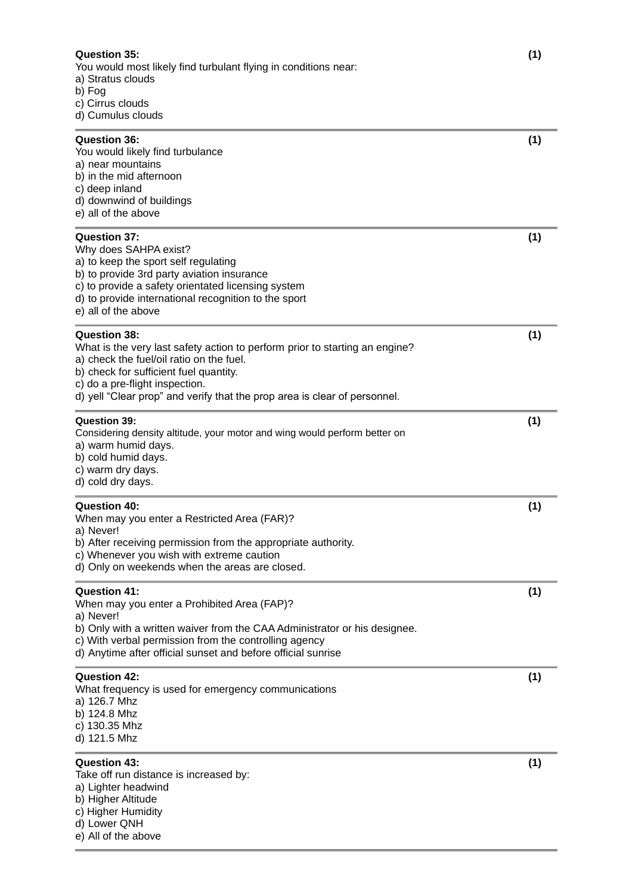# **Question 35: (1)**

You would most likely find turbulant flying in conditions near:

- a) Stratus clouds
- b) Fog
- c) Cirrus clouds
- d) Cumulus clouds

| <b>Question 36:</b><br>You would likely find turbulance<br>a) near mountains<br>b) in the mid afternoon<br>c) deep inland<br>d) downwind of buildings<br>e) all of the above                                                                                                                            | (1) |
|---------------------------------------------------------------------------------------------------------------------------------------------------------------------------------------------------------------------------------------------------------------------------------------------------------|-----|
| <b>Question 37:</b><br>Why does SAHPA exist?<br>a) to keep the sport self regulating<br>b) to provide 3rd party aviation insurance<br>c) to provide a safety orientated licensing system<br>d) to provide international recognition to the sport<br>e) all of the above                                 | (1) |
| <b>Question 38:</b><br>What is the very last safety action to perform prior to starting an engine?<br>a) check the fuel/oil ratio on the fuel.<br>b) check for sufficient fuel quantity.<br>c) do a pre-flight inspection.<br>d) yell "Clear prop" and verify that the prop area is clear of personnel. | (1) |
| <b>Question 39:</b><br>Considering density altitude, your motor and wing would perform better on<br>a) warm humid days.<br>b) cold humid days.<br>c) warm dry days.<br>d) cold dry days.                                                                                                                | (1) |
| <b>Question 40:</b><br>When may you enter a Restricted Area (FAR)?<br>a) Never!<br>b) After receiving permission from the appropriate authority.<br>c) Whenever you wish with extreme caution<br>d) Only on weekends when the areas are closed.                                                         | (1) |
| <b>Question 41:</b><br>When may you enter a Prohibited Area (FAP)?<br>a) Never!<br>b) Only with a written waiver from the CAA Administrator or his designee.<br>c) With verbal permission from the controlling agency<br>d) Anytime after official sunset and before official sunrise                   | (1) |
| <b>Question 42:</b><br>What frequency is used for emergency communications<br>a) 126.7 Mhz<br>b) 124.8 Mhz<br>c) 130.35 Mhz<br>d) 121.5 Mhz                                                                                                                                                             | (1) |
| <b>Question 43:</b><br>Take off run distance is increased by:<br>a) Lighter headwind<br>b) Higher Altitude<br>c) Higher Humidity                                                                                                                                                                        | (1) |

- d) Lower QNH
- e) All of the above